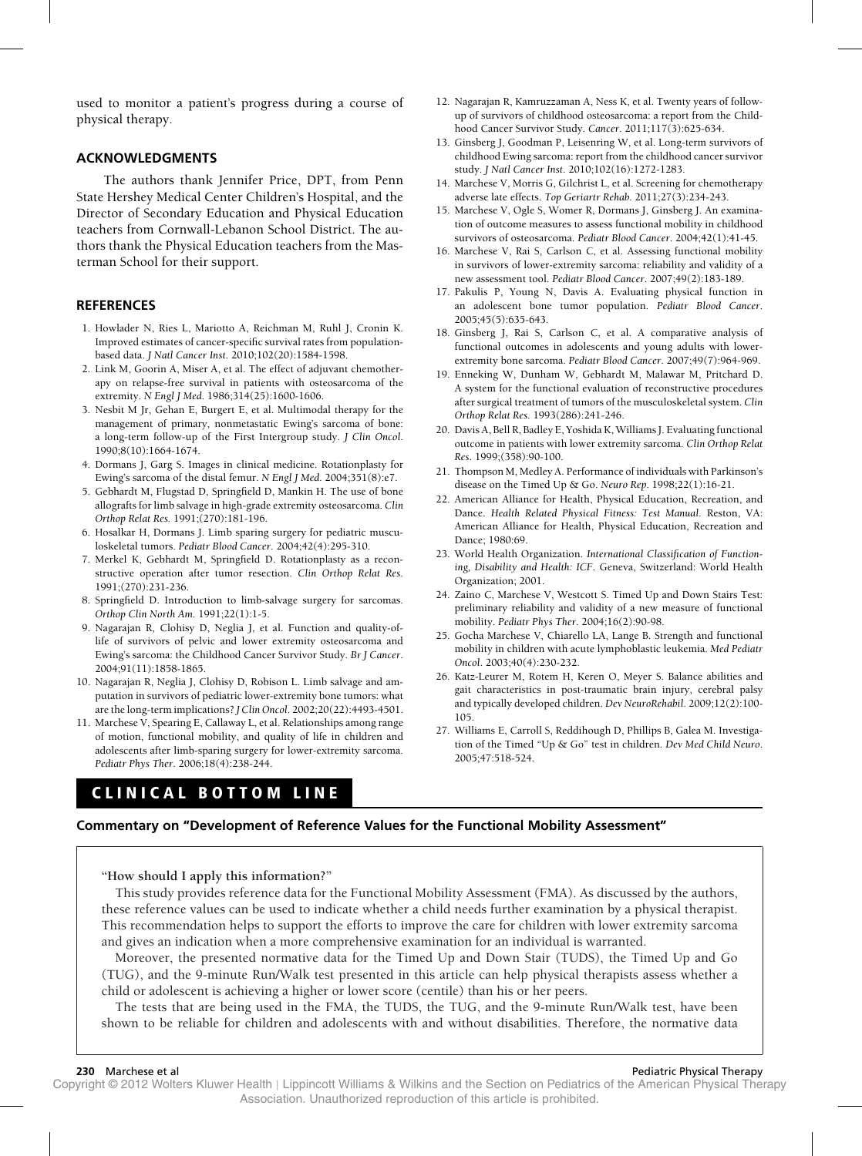used to monitor a patient's progress during a course of physical therapy.

## **ACKNOWLEDGMENTS**

The authors thank Jennifer Price, DPT, from Penn State Hershey Medical Center Children's Hospital, and the Director of Secondary Education and Physical Education teachers from Cornwall-Lebanon School District. The authors thank the Physical Education teachers from the Masterman School for their support.

## **REFERENCES**

- 1. Howlader N, Ries L, Mariotto A, Reichman M, Ruhl J, Cronin K. Improved estimates of cancer-specific survival rates from populationbased data. *J Natl Cancer Inst*. 2010;102(20):1584-1598.
- 2. Link M, Goorin A, Miser A, et al. The effect of adjuvant chemotherapy on relapse-free survival in patients with osteosarcoma of the extremity. *N Engl J Med*. 1986;314(25):1600-1606.
- 3. Nesbit M Jr, Gehan E, Burgert E, et al. Multimodal therapy for the management of primary, nonmetastatic Ewing's sarcoma of bone: a long-term follow-up of the First Intergroup study. *J Clin Oncol*. 1990;8(10):1664-1674.
- 4. Dormans J, Garg S. Images in clinical medicine. Rotationplasty for Ewing's sarcoma of the distal femur. *N Engl J Med*. 2004;351(8):e7.
- 5. Gebhardt M, Flugstad D, Springfield D, Mankin H. The use of bone allografts for limb salvage in high-grade extremity osteosarcoma. *Clin Orthop Relat Res.* 1991;(270):181-196.
- 6. Hosalkar H, Dormans J. Limb sparing surgery for pediatric musculoskeletal tumors. *Pediatr Blood Cancer*. 2004;42(4):295-310.
- 7. Merkel K, Gebhardt M, Springfield D. Rotationplasty as a reconstructive operation after tumor resection. *Clin Orthop Relat Res*. 1991;(270):231-236.
- 8. Springfield D. Introduction to limb-salvage surgery for sarcomas. *Orthop Clin North Am.* 1991;22(1):1-5.
- 9. Nagarajan R, Clohisy D, Neglia J, et al. Function and quality-oflife of survivors of pelvic and lower extremity osteosarcoma and Ewing's sarcoma: the Childhood Cancer Survivor Study. *Br J Cancer*. 2004;91(11):1858-1865.
- 10. Nagarajan R, Neglia J, Clohisy D, Robison L. Limb salvage and amputation in survivors of pediatric lower-extremity bone tumors: what are the long-term implications? *J Clin Oncol*. 2002;20(22):4493-4501.
- 11. Marchese V, Spearing E, Callaway L, et al. Relationships among range of motion, functional mobility, and quality of life in children and adolescents after limb-sparing surgery for lower-extremity sarcoma. *Pediatr Phys Ther*. 2006;18(4):238-244.

# **CLINICAL BOTTOM LINE**

- 12. Nagarajan R, Kamruzzaman A, Ness K, et al. Twenty years of followup of survivors of childhood osteosarcoma: a report from the Childhood Cancer Survivor Study. *Cancer*. 2011;117(3):625-634.
- 13. Ginsberg J, Goodman P, Leisenring W, et al. Long-term survivors of childhood Ewing sarcoma: report from the childhood cancer survivor study. *J Natl Cancer Inst*. 2010;102(16):1272-1283.
- 14. Marchese V, Morris G, Gilchrist L, et al. Screening for chemotherapy adverse late effects. *Top Geriartr Rehab.* 2011;27(3):234-243.
- 15. Marchese V, Ogle S, Womer R, Dormans J, Ginsberg J. An examination of outcome measures to assess functional mobility in childhood survivors of osteosarcoma. *Pediatr Blood Cancer*. 2004;42(1):41-45.
- 16. Marchese V, Rai S, Carlson C, et al. Assessing functional mobility in survivors of lower-extremity sarcoma: reliability and validity of a new assessment tool. *Pediatr Blood Cancer*. 2007;49(2):183-189.
- 17. Pakulis P, Young N, Davis A. Evaluating physical function in an adolescent bone tumor population. *Pediatr Blood Cancer*. 2005;45(5):635-643.
- 18. Ginsberg J, Rai S, Carlson C, et al. A comparative analysis of functional outcomes in adolescents and young adults with lowerextremity bone sarcoma. *Pediatr Blood Cancer*. 2007;49(7):964-969.
- 19. Enneking W, Dunham W, Gebhardt M, Malawar M, Pritchard D. A system for the functional evaluation of reconstructive procedures after surgical treatment of tumors of the musculoskeletal system. *Clin Orthop Relat Res.* 1993(286):241-246.
- 20. Davis A, Bell R, Badley E, Yoshida K, Williams J. Evaluating functional outcome in patients with lower extremity sarcoma. *Clin Orthop Relat Res*. 1999;(358):90-100.
- 21. Thompson M, Medley A. Performance of individuals with Parkinson's disease on the Timed Up & Go. *Neuro Rep*. 1998;22(1):16-21.
- 22. American Alliance for Health, Physical Education, Recreation, and Dance. *Health Related Physical Fitness: Test Manual*. Reston, VA: American Alliance for Health, Physical Education, Recreation and Dance; 1980:69.
- 23. World Health Organization. *International Classification of Functioning, Disability and Health: ICF*. Geneva, Switzerland: World Health Organization; 2001.
- 24. Zaino C, Marchese V, Westcott S. Timed Up and Down Stairs Test: preliminary reliability and validity of a new measure of functional mobility. *Pediatr Phys Ther*. 2004;16(2):90-98.
- 25. Gocha Marchese V, Chiarello LA, Lange B. Strength and functional mobility in children with acute lymphoblastic leukemia. *Med Pediatr Oncol*. 2003;40(4):230-232.
- 26. Katz-Leurer M, Rotem H, Keren O, Meyer S. Balance abilities and gait characteristics in post-traumatic brain injury, cerebral palsy and typically developed children. *Dev NeuroRehabil*. 2009;12(2):100- 105.
- 27. Williams E, Carroll S, Reddihough D, Phillips B, Galea M. Investigation of the Timed "Up & Go" test in children. *Dev Med Child Neuro*. 2005;47:518-524.

## **Commentary on "Development of Reference Values for the Functional Mobility Assessment"**

**"How should I apply this information?"**

This study provides reference data for the Functional Mobility Assessment (FMA). As discussed by the authors, these reference values can be used to indicate whether a child needs further examination by a physical therapist. This recommendation helps to support the efforts to improve the care for children with lower extremity sarcoma and gives an indication when a more comprehensive examination for an individual is warranted.

Moreover, the presented normative data for the Timed Up and Down Stair (TUDS), the Timed Up and Go (TUG), and the 9-minute Run/Walk test presented in this article can help physical therapists assess whether a child or adolescent is achieving a higher or lower score (centile) than his or her peers.

The tests that are being used in the FMA, the TUDS, the TUG, and the 9-minute Run/Walk test, have been shown to be reliable for children and adolescents with and without disabilities. Therefore, the normative data

Copyright © 2012 Wolters Kluwer Health | Lippincott Williams & Wilkins and the Section on Pediatrics of the American Physical Therapy Association. Unauthorized reproduction of this article is prohibited.